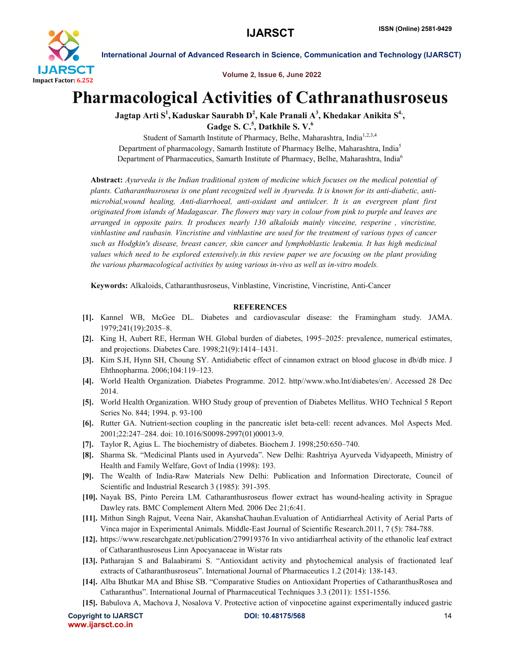

International Journal of Advanced Research in Science, Communication and Technology (IJARSCT)

Volume 2, Issue 6, June 2022

## Pharmacological Activities of Cathranathusroseus

Jagtap Arti S $^1$ , Kaduskar Saurabh D $^2$ , Kale Pranali A $^3$ , Khedakar Anikita S $^4$ , Gadge S. C.<sup>5</sup>, Datkhile S. V.<sup>6</sup>

Student of Samarth Institute of Pharmacy, Belhe, Maharashtra, India<sup>1,2,3,4</sup> Department of pharmacology, Samarth Institute of Pharmacy Belhe, Maharashtra, India5 Department of Pharmaceutics, Samarth Institute of Pharmacy, Belhe, Maharashtra, India<sup>6</sup>

Abstract: *Ayurveda is the Indian traditional system of medicine which focuses on the medical potential of plants. Catharanthusroseus is one plant recognized well in Ayurveda. It is known for its anti-diabetic, antimicrobial,wound healing, Anti-diarrhoeal, anti-oxidant and antiulcer. It is an evergreen plant first originated from islands of Madagascar. The flowers may vary in colour from pink to purple and leaves are arranged in opposite pairs. It produces nearly 130 alkaloids mainly vinceine, resperine , vincristine, vinblastine and raubasin. Vincristine and vinblastine are used for the treatment of various types of cancer such as Hodgkin's disease, breast cancer, skin cancer and lymphoblastic leukemia. It has high medicinal values which need to be explored extensively.in this review paper we are focusing on the plant providing the various pharmacological activities by using various in-vivo as well as in-vitro models.*

Keywords: Alkaloids, Catharanthusroseus, Vinblastine, Vincristine, Vincristine, Anti-Cancer

## **REFERENCES**

- [1]. Kannel WB, McGee DL. Diabetes and cardiovascular disease: the Framingham study. JAMA. 1979;241(19):2035–8.
- [2]. King H, Aubert RE, Herman WH. Global burden of diabetes, 1995–2025: prevalence, numerical estimates, and projections. Diabetes Care. 1998;21(9):1414–1431.
- [3]. Kim S.H, Hynn SH, Choung SY. Antidiabetic effect of cinnamon extract on blood glucose in db/db mice. J Ehthnopharma. 2006;104:119–123.
- [4]. World Health Organization. Diabetes Programme. 2012. http//www.who.Int/diabetes/en/. Accessed 28 Dec 2014.
- [5]. World Health Organization. WHO Study group of prevention of Diabetes Mellitus. WHO Technical 5 Report Series No. 844; 1994. p. 93-100
- [6]. Rutter GA. Nutrient-section coupling in the pancreatic islet beta-cell: recent advances. Mol Aspects Med. 2001;22:247–284. doi: 10.1016/S0098-2997(01)00013-9.
- [7]. Taylor R, Agius L. The biochemistry of diabetes. Biochem J. 1998;250:650–740.
- [8]. Sharma Sk. "Medicinal Plants used in Ayurveda". New Delhi: Rashtriya Ayurveda Vidyapeeth, Ministry of Health and Family Welfare, Govt of India (1998): 193.
- [9]. The Wealth of India-Raw Materials New Delhi: Publication and Information Directorate, Council of Scientific and Industrial Research 3 (1985): 391-395.
- [10]. Nayak BS, Pinto Pereira LM. Catharanthusroseus flower extract has wound-healing activity in Sprague Dawley rats. BMC Complement Altern Med. 2006 Dec 21;6:41.
- [11]. Mithun Singh Rajput, Veena Nair, AkanshaChauhan.Evaluation of Antidiarrheal Activity of Aerial Parts of Vinca major in Experimental Animals. Middle-East Journal of Scientific Research.2011, 7 (5): 784-788.
- [12]. https://www.researchgate.net/publication/279919376 In vivo antidiarrheal activity of the ethanolic leaf extract of Catharanthusroseus Linn Apocyanaceae in Wistar rats
- [13]. Patharajan S and Balaabirami S. "Antioxidant activity and phytochemical analysis of fractionated leaf extracts of Catharanthusroseus". International Journal of Pharmaceutics 1.2 (2014): 138-143.
- [14]. Alba Bhutkar MA and Bhise SB. "Comparative Studies on Antioxidant Properties of CatharanthusRosea and Catharanthus". International Journal of Pharmaceutical Techniques 3.3 (2011): 1551-1556.
- [15]. Babulova A, Machova J, Nosalova V. Protective action of vinpocetine against experimentally induced gastric